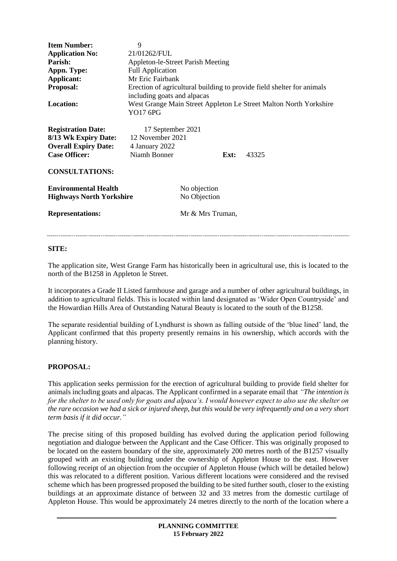| <b>Item Number:</b><br><b>Application No:</b><br>Parish:<br>Appn. Type:<br>Applicant:<br>Proposal:<br><b>Location:</b>                             | 9<br>21/01262/FUL<br><b>Appleton-le-Street Parish Meeting</b><br><b>Full Application</b><br>Mr Eric Fairbank<br>Erection of agricultural building to provide field shelter for animals<br>including goats and alpacas<br>West Grange Main Street Appleton Le Street Malton North Yorkshire<br>YO17 6PG |                              |      |       |
|----------------------------------------------------------------------------------------------------------------------------------------------------|--------------------------------------------------------------------------------------------------------------------------------------------------------------------------------------------------------------------------------------------------------------------------------------------------------|------------------------------|------|-------|
| <b>Registration Date:</b><br>8/13 Wk Expiry Date: 12 November 2021<br><b>Overall Expiry Date:</b><br><b>Case Officer:</b><br><b>CONSULTATIONS:</b> | 17 September 2021<br>4 January 2022<br>Niamh Bonner                                                                                                                                                                                                                                                    |                              | Ext: | 43325 |
| <b>Environmental Health</b><br><b>Highways North Yorkshire</b>                                                                                     |                                                                                                                                                                                                                                                                                                        | No objection<br>No Objection |      |       |
| <b>Representations:</b>                                                                                                                            |                                                                                                                                                                                                                                                                                                        | Mr & Mrs Truman,             |      |       |

#### **SITE:**

The application site, West Grange Farm has historically been in agricultural use, this is located to the north of the B1258 in Appleton le Street.

It incorporates a Grade II Listed farmhouse and garage and a number of other agricultural buildings, in addition to agricultural fields. This is located within land designated as 'Wider Open Countryside' and the Howardian Hills Area of Outstanding Natural Beauty is located to the south of the B1258.

The separate residential building of Lyndhurst is shown as falling outside of the 'blue lined' land, the Applicant confirmed that this property presently remains in his ownership, which accords with the planning history.

## **PROPOSAL:**

This application seeks permission for the erection of agricultural building to provide field shelter for animals including goats and alpacas. The Applicant confirmed in a separate email that *"The intention is for the shelter to be used only for goats and alpaca's. I would however expect to also use the shelter on the rare occasion we had a sick or injured sheep, but this would be very infrequently and on a very short term basis if it did occur."*

The precise siting of this proposed building has evolved during the application period following negotiation and dialogue between the Applicant and the Case Officer. This was originally proposed to be located on the eastern boundary of the site, approximately 200 metres north of the B1257 visually grouped with an existing building under the ownership of Appleton House to the east. However following receipt of an objection from the occupier of Appleton House (which will be detailed below) this was relocated to a different position. Various different locations were considered and the revised scheme which has been progressed proposed the building to be sited further south, closer to the existing buildings at an approximate distance of between 32 and 33 metres from the domestic curtilage of Appleton House. This would be approximately 24 metres directly to the north of the location where a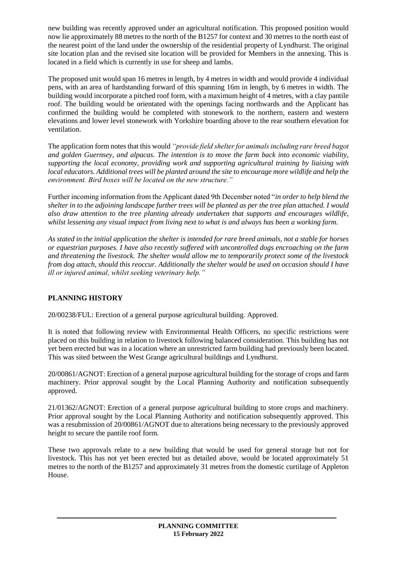new building was recently approved under an agricultural notification. This proposed position would now lie approximately 88 metres to the north of the B1257 for context and 30 metres to the north east of the nearest point of the land under the ownership of the residential property of Lyndhurst. The original site location plan and the revised site location will be provided for Members in the annexing. This is located in a field which is currently in use for sheep and lambs.

The proposed unit would span 16 metres in length, by 4 metres in width and would provide 4 individual pens, with an area of hardstanding forward of this spanning 16m in length, by 6 metres in width. The building would incorporate a pitched roof form, with a maximum height of 4 metres, with a clay pantile roof. The building would be orientated with the openings facing northwards and the Applicant has confirmed the building would be completed with stonework to the northern, eastern and western elevations and lower level stonework with Yorkshire boarding above to the rear southern elevation for ventilation.

The application form notes that this would *"provide field shelter for animals including rare breed bagot and golden Guernsey, and alpacas. The intention is to move the farm back into economic viability, supporting the local economy, providing work and supporting agricultural training by liaising with local educators. Additional trees will be planted around the site to encourage more wildlife and help the environment. Bird boxes will be located on the new structure."*

Further incoming information from the Applicant dated 9th December noted "*in order to help blend the shelter in to the adjoining landscape further trees will be planted as per the tree plan attached. I would also draw attention to the tree planting already undertaken that supports and encourages wildlife, whilst lessening any visual impact from living next to what is and always has been a working farm.* 

*As stated in the initial application the shelter is intended for rare breed animals, not a stable for horses or equestrian purposes. I have also recently suffered with uncontrolled dogs encroaching on the farm and threatening the livestock. The shelter would allow me to temporarily protect some of the livestock from dog attach, should this reoccur. Additionally the shelter would be used on occasion should I have ill or injured animal, whilst seeking veterinary help."* 

# **PLANNING HISTORY**

20/00238/FUL: Erection of a general purpose agricultural building. Approved.

It is noted that following review with Environmental Health Officers, no specific restrictions were placed on this building in relation to livestock following balanced consideration. This building has not yet been erected but was in a location where an unrestricted farm building had previously been located. This was sited between the West Grange agricultural buildings and Lyndhurst.

20/00861/AGNOT: Erection of a general purpose agricultural building for the storage of crops and farm machinery. Prior approval sought by the Local Planning Authority and notification subsequently approved.

21/01362/AGNOT: Erection of a general purpose agricultural building to store crops and machinery. Prior approval sought by the Local Planning Authority and notification subsequently approved. This was a resubmission of 20/00861/AGNOT due to alterations being necessary to the previously approved height to secure the pantile roof form.

These two approvals relate to a new building that would be used for general storage but not for livestock. This has not yet been erected but as detailed above, would be located approximately 51 metres to the north of the B1257 and approximately 31 metres from the domestic curtilage of Appleton House.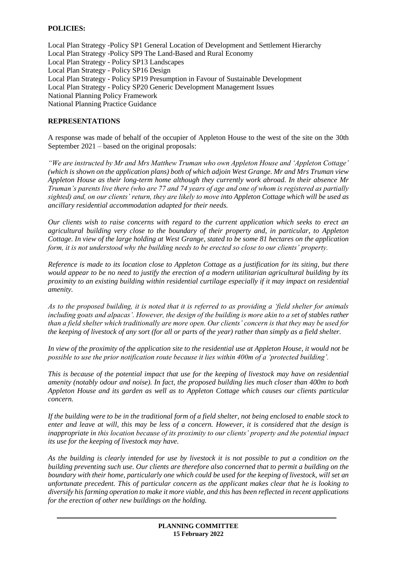# **POLICIES:**

Local Plan Strategy -Policy SP1 General Location of Development and Settlement Hierarchy Local Plan Strategy -Policy SP9 The Land-Based and Rural Economy Local Plan Strategy - Policy SP13 Landscapes Local Plan Strategy - Policy SP16 Design Local Plan Strategy - Policy SP19 Presumption in Favour of Sustainable Development Local Plan Strategy - Policy SP20 Generic Development Management Issues National Planning Policy Framework National Planning Practice Guidance

#### **REPRESENTATIONS**

A response was made of behalf of the occupier of Appleton House to the west of the site on the 30th September 2021 – based on the original proposals:

*"We are instructed by Mr and Mrs Matthew Truman who own Appleton House and 'Appleton Cottage' (which is shown on the application plans) both of which adjoin West Grange. Mr and Mrs Truman view Appleton House as their long-term home although they currently work abroad. In their absence Mr Truman's parents live there (who are 77 and 74 years of age and one of whom is registered as partially sighted) and, on our clients' return, they are likely to move into Appleton Cottage which will be used as ancillary residential accommodation adapted for their needs.* 

*Our clients wish to raise concerns with regard to the current application which seeks to erect an agricultural building very close to the boundary of their property and, in particular, to Appleton Cottage. In view of the large holding at West Grange, stated to be some 81 hectares on the application form, it is not understood why the building needs to be erected so close to our clients' property.* 

*Reference is made to its location close to Appleton Cottage as a justification for its siting, but there would appear to be no need to justify the erection of a modern utilitarian agricultural building by its proximity to an existing building within residential curtilage especially if it may impact on residential amenity.* 

*As to the proposed building, it is noted that it is referred to as providing a 'field shelter for animals including goats and alpacas'. However, the design of the building is more akin to a set of stables rather than a field shelter which traditionally are more open. Our clients' concern is that they may be used for the keeping of livestock of any sort (for all or parts of the year) rather than simply as a field shelter.* 

*In view of the proximity of the application site to the residential use at Appleton House, it would not be possible to use the prior notification route because it lies within 400m of a 'protected building'.* 

*This is because of the potential impact that use for the keeping of livestock may have on residential amenity (notably odour and noise). In fact, the proposed building lies much closer than 400m to both Appleton House and its garden as well as to Appleton Cottage which causes our clients particular concern.* 

*If the building were to be in the traditional form of a field shelter, not being enclosed to enable stock to enter and leave at will, this may be less of a concern. However, it is considered that the design is inappropriate in this location because of its proximity to our clients' property and the potential impact its use for the keeping of livestock may have.* 

*As the building is clearly intended for use by livestock it is not possible to put a condition on the building preventing such use. Our clients are therefore also concerned that to permit a building on the boundary with their home, particularly one which could be used for the keeping of livestock, will set an unfortunate precedent. This of particular concern as the applicant makes clear that he is looking to diversify his farming operation to make it more viable, and this has been reflected in recent applications for the erection of other new buildings on the holding.*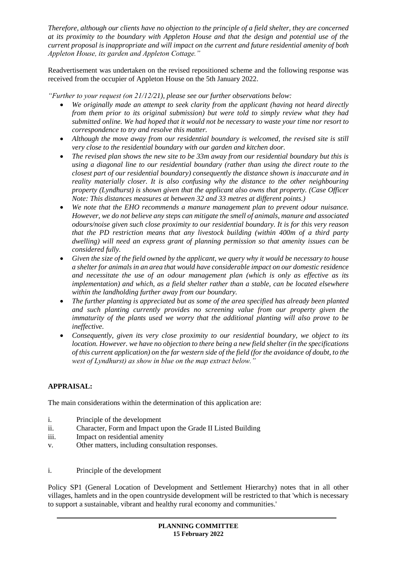*Therefore, although our clients have no objection to the principle of a field shelter, they are concerned at its proximity to the boundary with Appleton House and that the design and potential use of the current proposal is inappropriate and will impact on the current and future residential amenity of both Appleton House, its garden and Appleton Cottage."*

Readvertisement was undertaken on the revised repositioned scheme and the following response was received from the occupier of Appleton House on the 5th January 2022.

*"Further to your request (on 21/12/21), please see our further observations below:*

- *We originally made an attempt to seek clarity from the applicant (having not heard directly from them prior to its original submission) but were told to simply review what they had submitted online. We had hoped that it would not be necessary to waste your time nor resort to correspondence to try and resolve this matter.*
- *Although the move away from our residential boundary is welcomed, the revised site is still very close to the residential boundary with our garden and kitchen door.*
- *The revised plan shows the new site to be 33m away from our residential boundary but this is using a diagonal line to our residential boundary (rather than using the direct route to the closest part of our residential boundary) consequently the distance shown is inaccurate and in reality materially closer. It is also confusing why the distance to the other neighbouring property (Lyndhurst) is shown given that the applicant also owns that property. (Case Officer Note: This distances measures at between 32 and 33 metres at different points.)*
- *We note that the EHO recommends a manure management plan to prevent odour nuisance. However, we do not believe any steps can mitigate the smell of animals, manure and associated odours/noise given such close proximity to our residential boundary. It is for this very reason that the PD restriction means that any livestock building (within 400m of a third party dwelling) will need an express grant of planning permission so that amenity issues can be considered fully.*
- *Given the size of the field owned by the applicant, we query why it would be necessary to house a shelter for animals in an area that would have considerable impact on our domestic residence and necessitate the use of an odour management plan (which is only as effective as its implementation) and which, as a field shelter rather than a stable, can be located elsewhere within the landholding further away from our boundary.*
- *The further planting is appreciated but as some of the area specified has already been planted and such planting currently provides no screening value from our property given the immaturity of the plants used we worry that the additional planting will also prove to be ineffective.*
- *Consequently, given its very close proximity to our residential boundary, we object to its location. However. we have no objection to there being a new field shelter (in the specifications of this current application) on the far western side of the field (for the avoidance of doubt, to the west of Lyndhurst) as show in blue on the map extract below."*

# **APPRAISAL:**

The main considerations within the determination of this application are:

- i. Principle of the development
- ii. Character, Form and Impact upon the Grade II Listed Building
- iii. Impact on residential amenity
- v. Other matters, including consultation responses.
- i. Principle of the development

Policy SP1 (General Location of Development and Settlement Hierarchy) notes that in all other villages, hamlets and in the open countryside development will be restricted to that 'which is necessary to support a sustainable, vibrant and healthy rural economy and communities.'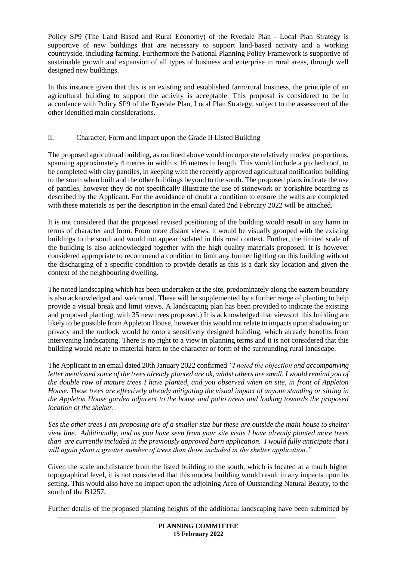Policy SP9 (The Land Based and Rural Economy) of the Ryedale Plan - Local Plan Strategy is supportive of new buildings that are necessary to support land-based activity and a working countryside, including farming. Furthermore the National Planning Policy Framework is supportive of sustainable growth and expansion of all types of business and enterprise in rural areas, through well designed new buildings.

In this instance given that this is an existing and established farm/rural business, the principle of an agricultural building to support the activity is acceptable. This proposal is considered to be in accordance with Policy SP9 of the Ryedale Plan, Local Plan Strategy, subject to the assessment of the other identified main considerations.

# ii. Character, Form and Impact upon the Grade II Listed Building

The proposed agricultural building, as outlined above would incorporate relatively modest proportions, spanning approximately 4 metres in width x 16 metres in length. This would include a pitched roof, to be completed with clay pantiles, in keeping with the recently approved agricultural notification building to the south when built and the other buildings beyond to the south. The proposed plans indicate the use of pantiles, however they do not specifically illustrate the use of stonework or Yorkshire boarding as described by the Applicant. For the avoidance of doubt a condition to ensure the walls are completed with these materials as per the description in the email dated 2nd February 2022 will be attached.

It is not considered that the proposed revised positioning of the building would result in any harm in terms of character and form. From more distant views, it would be visually grouped with the existing buildings to the south and would not appear isolated in this rural context. Further, the limited scale of the building is also acknowledged together with the high quality materials proposed. It is however considered appropriate to recommend a condition to limit any further lighting on this building without the discharging of a specific condition to provide details as this is a dark sky location and given the context of the neighbouring dwelling.

The noted landscaping which has been undertaken at the site, predominately along the eastern boundary is also acknowledged and welcomed. These will be supplemented by a further range of planting to help provide a visual break and limit views. A landscaping plan has been provided to indicate the existing and proposed planting, with 35 new trees proposed.) It is acknowledged that views of this building are likely to be possible from Appleton House, however this would not relate to impacts upon shadowing or privacy and the outlook would be onto a sensitively designed building, which already benefits from intervening landscaping. There is no right to a view in planning terms and it is not considered that this building would relate to material harm to the character or form of the surrounding rural landscape.

The Applicant in an email dated 20th January 2022 confirmed *"I noted the objection and accompanying letter mentioned some of the trees already planted are ok, whilst others are small. I would remind you of the double row of mature trees I have planted, and you observed when on site, in front of Appleton House. These trees are effectively already mitigating the visual impact of anyone standing or sitting in the Appleton House garden adjacent to the house and patio areas and looking towards the proposed location of the shelter.* 

*Yes the other trees I am proposing are of a smaller size but these are outside the main house to shelter view line. Additionally, and as you have seen from your site visits I have already planted more trees than are currently included in the previously approved barn application. I would fully anticipate that I will again plant a greater number of trees than those included in the shelter application."*

Given the scale and distance from the listed building to the south, which is located at a much higher topographical level, it is not considered that this modest building would result in any impacts upon its setting. This would also have no impact upon the adjoining Area of Outstanding Natural Beauty, to the south of the B1257.

Further details of the proposed planting heights of the additional landscaping have been submitted by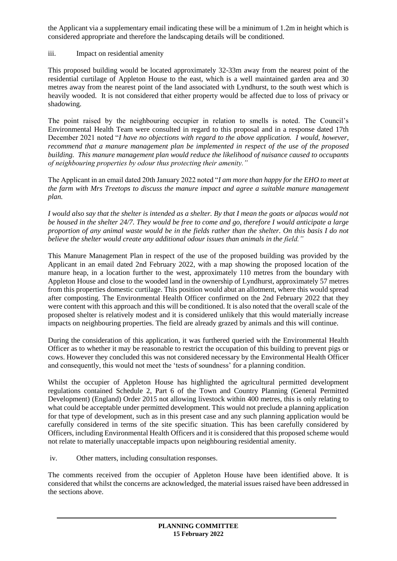the Applicant via a supplementary email indicating these will be a minimum of 1.2m in height which is considered appropriate and therefore the landscaping details will be conditioned.

# iii. Impact on residential amenity

This proposed building would be located approximately 32-33m away from the nearest point of the residential curtilage of Appleton House to the east, which is a well maintained garden area and 30 metres away from the nearest point of the land associated with Lyndhurst, to the south west which is heavily wooded. It is not considered that either property would be affected due to loss of privacy or shadowing.

The point raised by the neighbouring occupier in relation to smells is noted. The Council's Environmental Health Team were consulted in regard to this proposal and in a response dated 17th December 2021 noted "*I have no objections with regard to the above application. I would, however, recommend that a manure management plan be implemented in respect of the use of the proposed building. This manure management plan would reduce the likelihood of nuisance caused to occupants of neighbouring properties by odour thus protecting their amenity."*

The Applicant in an email dated 20th January 2022 noted "*I am more than happy for the EHO to meet at the farm with Mrs Treetops to discuss the manure impact and agree a suitable manure management plan.*

*I would also say that the shelter is intended as a shelter. By that I mean the goats or alpacas would not be housed in the shelter 24/7. They would be free to come and go, therefore I would anticipate a large proportion of any animal waste would be in the fields rather than the shelter. On this basis I do not believe the shelter would create any additional odour issues than animals in the field."*

This Manure Management Plan in respect of the use of the proposed building was provided by the Applicant in an email dated 2nd February 2022, with a map showing the proposed location of the manure heap, in a location further to the west, approximately 110 metres from the boundary with Appleton House and close to the wooded land in the ownership of Lyndhurst, approximately 57 metres from this properties domestic curtilage. This position would abut an allotment, where this would spread after composting. The Environmental Health Officer confirmed on the 2nd February 2022 that they were content with this approach and this will be conditioned. It is also noted that the overall scale of the proposed shelter is relatively modest and it is considered unlikely that this would materially increase impacts on neighbouring properties. The field are already grazed by animals and this will continue.

During the consideration of this application, it was furthered queried with the Environmental Health Officer as to whether it may be reasonable to restrict the occupation of this building to prevent pigs or cows. However they concluded this was not considered necessary by the Environmental Health Officer and consequently, this would not meet the 'tests of soundness' for a planning condition.

Whilst the occupier of Appleton House has highlighted the agricultural permitted development regulations contained Schedule 2, Part 6 of the Town and Country Planning (General Permitted Development) (England) Order 2015 not allowing livestock within 400 metres, this is only relating to what could be acceptable under permitted development. This would not preclude a planning application for that type of development, such as in this present case and any such planning application would be carefully considered in terms of the site specific situation. This has been carefully considered by Officers, including Environmental Health Officers and it is considered that this proposed scheme would not relate to materially unacceptable impacts upon neighbouring residential amenity.

iv. Other matters, including consultation responses.

The comments received from the occupier of Appleton House have been identified above. It is considered that whilst the concerns are acknowledged, the material issues raised have been addressed in the sections above.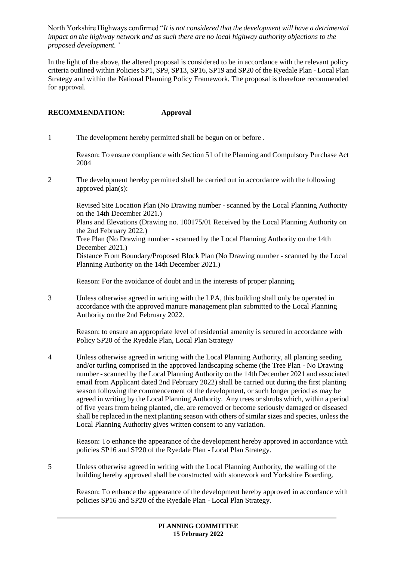North Yorkshire Highways confirmed "*It is not considered that the development will have a detrimental impact on the highway network and as such there are no local highway authority objections to the proposed development."*

In the light of the above, the altered proposal is considered to be in accordance with the relevant policy criteria outlined within Policies SP1, SP9, SP13, SP16, SP19 and SP20 of the Ryedale Plan - Local Plan Strategy and within the National Planning Policy Framework. The proposal is therefore recommended for approval.

# **RECOMMENDATION: Approval**

1 The development hereby permitted shall be begun on or before .

Reason: To ensure compliance with Section 51 of the Planning and Compulsory Purchase Act 2004

2 The development hereby permitted shall be carried out in accordance with the following approved plan(s):

Revised Site Location Plan (No Drawing number - scanned by the Local Planning Authority on the 14th December 2021.) Plans and Elevations (Drawing no. 100175/01 Received by the Local Planning Authority on the 2nd February 2022.) Tree Plan (No Drawing number - scanned by the Local Planning Authority on the 14th December 2021.) Distance From Boundary/Proposed Block Plan (No Drawing number - scanned by the Local Planning Authority on the 14th December 2021.)

Reason: For the avoidance of doubt and in the interests of proper planning.

3 Unless otherwise agreed in writing with the LPA, this building shall only be operated in accordance with the approved manure management plan submitted to the Local Planning Authority on the 2nd February 2022.

Reason: to ensure an appropriate level of residential amenity is secured in accordance with Policy SP20 of the Ryedale Plan, Local Plan Strategy

4 Unless otherwise agreed in writing with the Local Planning Authority, all planting seeding and/or turfing comprised in the approved landscaping scheme (the Tree Plan - No Drawing number - scanned by the Local Planning Authority on the 14th December 2021 and associated email from Applicant dated 2nd February 2022) shall be carried out during the first planting season following the commencement of the development, or such longer period as may be agreed in writing by the Local Planning Authority. Any trees or shrubs which, within a period of five years from being planted, die, are removed or become seriously damaged or diseased shall be replaced in the next planting season with others of similar sizes and species, unless the Local Planning Authority gives written consent to any variation.

Reason: To enhance the appearance of the development hereby approved in accordance with policies SP16 and SP20 of the Ryedale Plan - Local Plan Strategy.

5 Unless otherwise agreed in writing with the Local Planning Authority, the walling of the building hereby approved shall be constructed with stonework and Yorkshire Boarding.

Reason: To enhance the appearance of the development hereby approved in accordance with policies SP16 and SP20 of the Ryedale Plan - Local Plan Strategy.